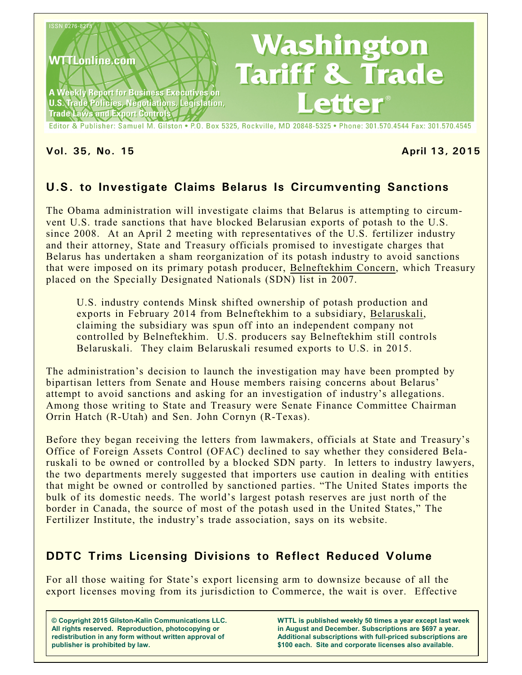

**Vol. 35, No. 15 April 13, 2015**

# **U.S. to Investigate Claims Belarus Is Circumventing Sanctions**

The Obama administration will investigate claims that Belarus is attempting to circumvent U.S. trade sanctions that have blocked Belarusian exports of potash to the U.S. since 2008. At an April 2 meeting with representatives of the U.S. fertilizer industry and their attorney, State and Treasury officials promised to investigate charges that Belarus has undertaken a sham reorganization of its potash industry to avoid sanctions that were imposed on its primary potash producer, Belneftekhim Concern, which Treasury placed on the Specially Designated Nationals (SDN) list in 2007.

U.S. industry contends Minsk shifted ownership of potash production and exports in February 2014 from Belneftekhim to a subsidiary, Belaruskali, claiming the subsidiary was spun off into an independent company not controlled by Belneftekhim. U.S. producers say Belneftekhim still controls Belaruskali. They claim Belaruskali resumed exports to U.S. in 2015.

The administration's decision to launch the investigation may have been prompted by bipartisan letters from Senate and House members raising concerns about Belarus' attempt to avoid sanctions and asking for an investigation of industry's allegations. Among those writing to State and Treasury were Senate Finance Committee Chairman Orrin Hatch (R-Utah) and Sen. John Cornyn (R-Texas).

Before they began receiving the letters from lawmakers, officials at State and Treasury's Office of Foreign Assets Control (OFAC) declined to say whether they considered Belaruskali to be owned or controlled by a blocked SDN party. In letters to industry lawyers, the two departments merely suggested that importers use caution in dealing with entities that might be owned or controlled by sanctioned parties. "The United States imports the bulk of its domestic needs. The world's largest potash reserves are just north of the border in Canada, the source of most of the potash used in the United States," The Fertilizer Institute, the industry's trade association, says on its website.

# **DDTC Trims Licensing Divisions to Reflect Reduced Volume**

For all those waiting for State's export licensing arm to downsize because of all the export licenses moving from its jurisdiction to Commerce, the wait is over. Effective

**© Copyright 2015 Gilston-Kalin Communications LLC. All rights reserved. Reproduction, photocopying or redistribution in any form without written approval of publisher is prohibited by law.** 

**WTTL is published weekly 50 times a year except last week in August and December. Subscriptions are \$697 a year. Additional subscriptions with full-priced subscriptions are \$100 each. Site and corporate licenses also available.**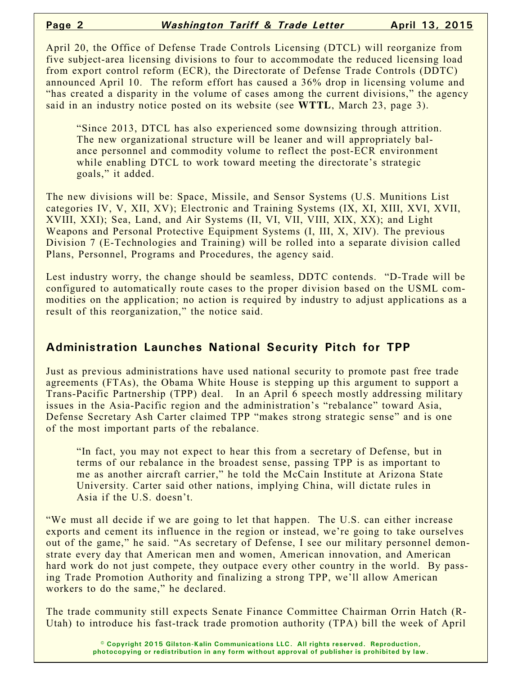April 20, the Office of Defense Trade Controls Licensing (DTCL) will reorganize from five subject-area licensing divisions to four to accommodate the reduced licensing load from export control reform (ECR), the Directorate of Defense Trade Controls (DDTC) announced April 10. The reform effort has caused a 36% drop in licensing volume and "has created a disparity in the volume of cases among the current divisions," the agency said in an industry notice posted on its website (see **WTTL**, March 23, page 3).

"Since 2013, DTCL has also experienced some downsizing through attrition. The new organizational structure will be leaner and will appropriately balance personnel and commodity volume to reflect the post-ECR environment while enabling DTCL to work toward meeting the directorate's strategic goals," it added.

The new divisions will be: Space, Missile, and Sensor Systems (U.S. Munitions List categories IV, V, XII, XV); Electronic and Training Systems (IX, XI, XIII, XVI, XVII, XVIII, XXI); Sea, Land, and Air Systems (II, VI, VII, VIII, XIX, XX); and Light Weapons and Personal Protective Equipment Systems (I, III, X, XIV). The previous Division 7 (E-Technologies and Training) will be rolled into a separate division called Plans, Personnel, Programs and Procedures, the agency said.

Lest industry worry, the change should be seamless, DDTC contends. "D-Trade will be configured to automatically route cases to the proper division based on the USML commodities on the application; no action is required by industry to adjust applications as a result of this reorganization," the notice said.

### **Administration Launches National Security Pitch for TPP**

Just as previous administrations have used national security to promote past free trade agreements (FTAs), the Obama White House is stepping up this argument to support a Trans-Pacific Partnership (TPP) deal. In an April 6 speech mostly addressing military issues in the Asia-Pacific region and the administration's "rebalance" toward Asia, Defense Secretary Ash Carter claimed TPP "makes strong strategic sense" and is one of the most important parts of the rebalance.

"In fact, you may not expect to hear this from a secretary of Defense, but in terms of our rebalance in the broadest sense, passing TPP is as important to me as another aircraft carrier," he told the McCain Institute at Arizona State University. Carter said other nations, implying China, will dictate rules in Asia if the U.S. doesn't.

"We must all decide if we are going to let that happen. The U.S. can either increase exports and cement its influence in the region or instead, we're going to take ourselves out of the game," he said. "As secretary of Defense, I see our military personnel demonstrate every day that American men and women, American innovation, and American hard work do not just compete, they outpace every other country in the world. By passing Trade Promotion Authority and finalizing a strong TPP, we'll allow American workers to do the same," he declared.

The trade community still expects Senate Finance Committee Chairman Orrin Hatch (R-Utah) to introduce his fast-track trade promotion authority (TPA) bill the week of April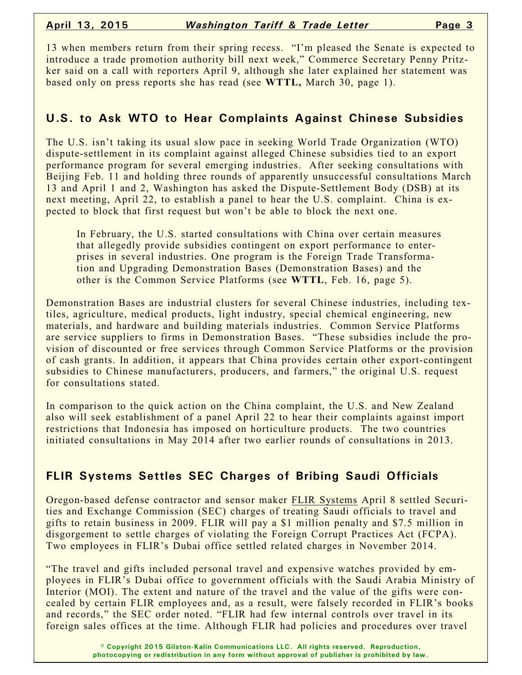13 when members return from their spring recess. "I'm pleased the Senate is expected to introduce a trade promotion authority bill next week," Commerce Secretary Penny Pritzker said on a call with reporters April 9, although she later explained her statement was based only on press reports she has read (see **WTTL,** March 30, page 1).

## **U.S. to Ask WTO to Hear Complaints Against Chinese Subsidies**

The U.S. isn't taking its usual slow pace in seeking World Trade Organization (WTO) dispute-settlement in its complaint against alleged Chinese subsidies tied to an export performance program for several emerging industries. After seeking consultations with Beijing Feb. 11 and holding three rounds of apparently unsuccessful consultations March 13 and April 1 and 2, Washington has asked the Dispute-Settlement Body (DSB) at its next meeting, April 22, to establish a panel to hear the U.S. complaint. China is expected to block that first request but won't be able to block the next one.

In February, the U.S. started consultations with China over certain measures that allegedly provide subsidies contingent on export performance to enterprises in several industries. One program is the Foreign Trade Transformation and Upgrading Demonstration Bases (Demonstration Bases) and the other is the Common Service Platforms (see **WTTL**, Feb. 16, page 5).

Demonstration Bases are industrial clusters for several Chinese industries, including textiles, agriculture, medical products, light industry, special chemical engineering, new materials, and hardware and building materials industries. Common Service Platforms are service suppliers to firms in Demonstration Bases. "These subsidies include the provision of discounted or free services through Common Service Platforms or the provision of cash grants. In addition, it appears that China provides certain other export-contingent subsidies to Chinese manufacturers, producers, and farmers," the original U.S. request for consultations stated.

In comparison to the quick action on the China complaint, the U.S. and New Zealand also will seek establishment of a panel April 22 to hear their complaints against import restrictions that Indonesia has imposed on horticulture products. The two countries initiated consultations in May 2014 after two earlier rounds of consultations in 2013.

# **FLIR Systems Settles SEC Charges of Bribing Saudi Officials**

Oregon-based defense contractor and sensor maker FLIR Systems April 8 settled Securities and Exchange Commission (SEC) charges of treating Saudi officials to travel and gifts to retain business in 2009. FLIR will pay a \$1 million penalty and \$7.5 million in disgorgement to settle charges of violating the Foreign Corrupt Practices Act (FCPA). Two employees in FLIR's Dubai office settled related charges in November 2014.

"The travel and gifts included personal travel and expensive watches provided by employees in FLIR's Dubai office to government officials with the Saudi Arabia Ministry of Interior (MOI). The extent and nature of the travel and the value of the gifts were concealed by certain FLIR employees and, as a result, were falsely recorded in FLIR's books and records," the SEC order noted. "FLIR had few internal controls over travel in its foreign sales offices at the time. Although FLIR had policies and procedures over travel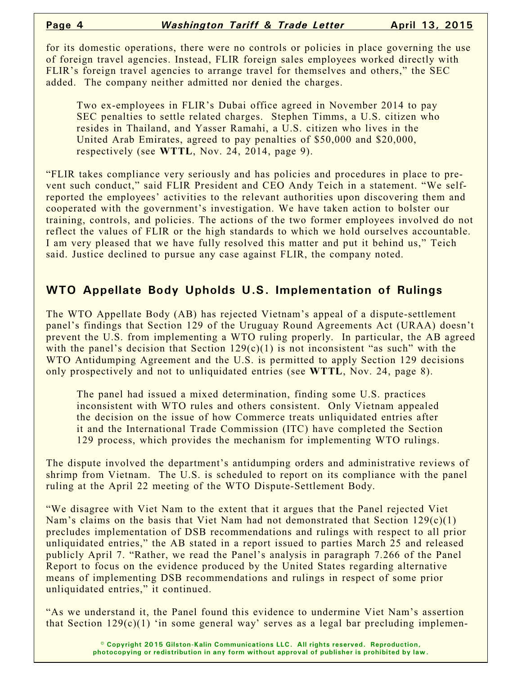for its domestic operations, there were no controls or policies in place governing the use of foreign travel agencies. Instead, FLIR foreign sales employees worked directly with FLIR's foreign travel agencies to arrange travel for themselves and others," the SEC added. The company neither admitted nor denied the charges.

Two ex-employees in FLIR's Dubai office agreed in November 2014 to pay SEC penalties to settle related charges. Stephen Timms, a U.S. citizen who resides in Thailand, and Yasser Ramahi, a U.S. citizen who lives in the United Arab Emirates, agreed to pay penalties of \$50,000 and \$20,000, respectively (see **WTTL**, Nov. 24, 2014, page 9).

"FLIR takes compliance very seriously and has policies and procedures in place to prevent such conduct," said FLIR President and CEO Andy Teich in a statement. "We selfreported the employees' activities to the relevant authorities upon discovering them and cooperated with the government's investigation. We have taken action to bolster our training, controls, and policies. The actions of the two former employees involved do not reflect the values of FLIR or the high standards to which we hold ourselves accountable. I am very pleased that we have fully resolved this matter and put it behind us," Teich said. Justice declined to pursue any case against FLIR, the company noted.

#### **WTO Appellate Body Upholds U.S. Implementation of Rulings**

The WTO Appellate Body (AB) has rejected Vietnam's appeal of a dispute-settlement panel's findings that Section 129 of the Uruguay Round Agreements Act (URAA) doesn't prevent the U.S. from implementing a WTO ruling properly. In particular, the AB agreed with the panel's decision that Section  $129(c)(1)$  is not inconsistent "as such" with the WTO Antidumping Agreement and the U.S. is permitted to apply Section 129 decisions only prospectively and not to unliquidated entries (see **WTTL**, Nov. 24, page 8).

The panel had issued a mixed determination, finding some U.S. practices inconsistent with WTO rules and others consistent. Only Vietnam appealed the decision on the issue of how Commerce treats unliquidated entries after it and the International Trade Commission (ITC) have completed the Section 129 process, which provides the mechanism for implementing WTO rulings.

The dispute involved the department's antidumping orders and administrative reviews of shrimp from Vietnam. The U.S. is scheduled to report on its compliance with the panel ruling at the April 22 meeting of the WTO Dispute-Settlement Body.

"We disagree with Viet Nam to the extent that it argues that the Panel rejected Viet Nam's claims on the basis that Viet Nam had not demonstrated that Section  $129(c)(1)$ precludes implementation of DSB recommendations and rulings with respect to all prior unliquidated entries," the AB stated in a report issued to parties March 25 and released publicly April 7. "Rather, we read the Panel's analysis in paragraph 7.266 of the Panel Report to focus on the evidence produced by the United States regarding alternative means of implementing DSB recommendations and rulings in respect of some prior unliquidated entries," it continued.

"As we understand it, the Panel found this evidence to undermine Viet Nam's assertion that Section  $129(c)(1)$  'in some general way' serves as a legal bar precluding implemen-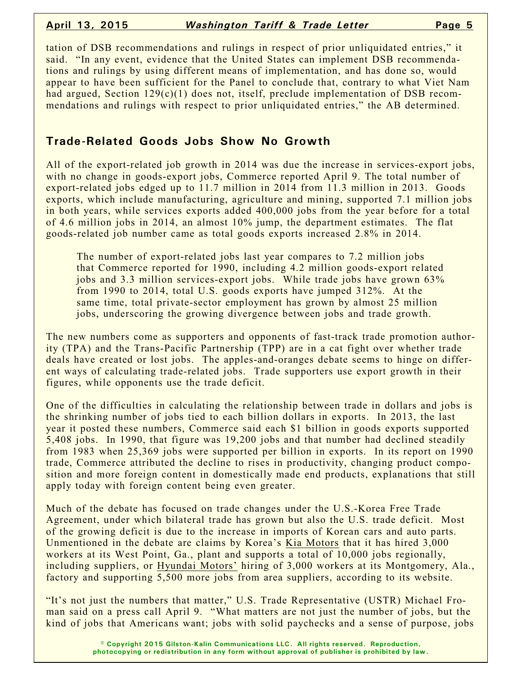tation of DSB recommendations and rulings in respect of prior unliquidated entries," it said. "In any event, evidence that the United States can implement DSB recommendations and rulings by using different means of implementation, and has done so, would appear to have been sufficient for the Panel to conclude that, contrary to what Viet Nam had argued, Section 129(c)(1) does not, itself, preclude implementation of DSB recommendations and rulings with respect to prior unliquidated entries," the AB determined.

### **Trade-Related Goods Jobs Show No Growth**

All of the export-related job growth in 2014 was due the increase in services-export jobs, with no change in goods-export jobs, Commerce reported April 9. The total number of export-related jobs edged up to 11.7 million in 2014 from 11.3 million in 2013. Goods exports, which include manufacturing, agriculture and mining, supported 7.1 million jobs in both years, while services exports added 400,000 jobs from the year before for a total of 4.6 million jobs in 2014, an almost 10% jump, the department estimates. The flat goods-related job number came as total goods exports increased 2.8% in 2014.

The number of export-related jobs last year compares to 7.2 million jobs that Commerce reported for 1990, including 4.2 million goods-export related jobs and 3.3 million services-export jobs. While trade jobs have grown 63% from 1990 to 2014, total U.S. goods exports have jumped 312%. At the same time, total private-sector employment has grown by almost 25 million jobs, underscoring the growing divergence between jobs and trade growth.

The new numbers come as supporters and opponents of fast-track trade promotion authority (TPA) and the Trans-Pacific Partnership (TPP) are in a cat fight over whether trade deals have created or lost jobs. The apples-and-oranges debate seems to hinge on different ways of calculating trade-related jobs. Trade supporters use export growth in their figures, while opponents use the trade deficit.

One of the difficulties in calculating the relationship between trade in dollars and jobs is the shrinking number of jobs tied to each billion dollars in exports. In 2013, the last year it posted these numbers, Commerce said each \$1 billion in goods exports supported 5,408 jobs. In 1990, that figure was 19,200 jobs and that number had declined steadily from 1983 when 25,369 jobs were supported per billion in exports. In its report on 1990 trade, Commerce attributed the decline to rises in productivity, changing product composition and more foreign content in domestically made end products, explanations that still apply today with foreign content being even greater.

Much of the debate has focused on trade changes under the U.S.-Korea Free Trade Agreement, under which bilateral trade has grown but also the U.S. trade deficit. Most of the growing deficit is due to the increase in imports of Korean cars and auto parts. Unmentioned in the debate are claims by Korea's Kia Motors that it has hired 3,000 workers at its West Point, Ga., plant and supports a total of 10,000 jobs regionally, including suppliers, or Hyundai Motors' hiring of 3,000 workers at its Montgomery, Ala., factory and supporting 5,500 more jobs from area suppliers, according to its website.

"It's not just the numbers that matter," U.S. Trade Representative (USTR) Michael Froman said on a press call April 9. "What matters are not just the number of jobs, but the kind of jobs that Americans want; jobs with solid paychecks and a sense of purpose, jobs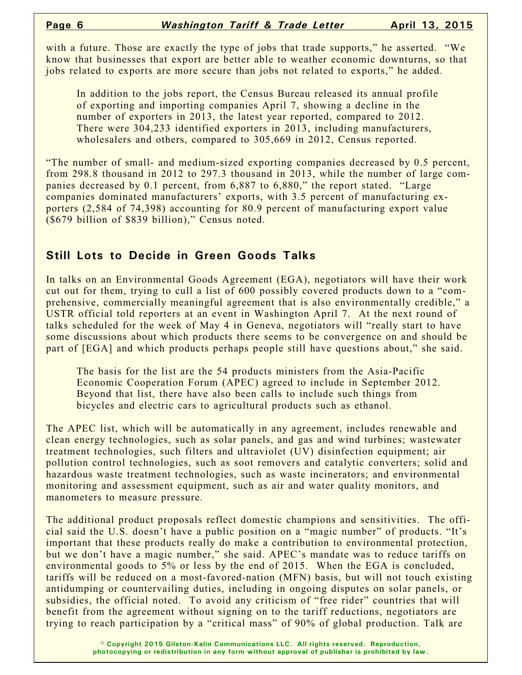with a future. Those are exactly the type of jobs that trade supports," he asserted. "We know that businesses that export are better able to weather economic downturns, so that jobs related to exports are more secure than jobs not related to exports," he added.

In addition to the jobs report, the Census Bureau released its annual profile of exporting and importing companies April 7, showing a decline in the number of exporters in 2013, the latest year reported, compared to 2012. There were 304,233 identified exporters in 2013, including manufacturers, wholesalers and others, compared to 305,669 in 2012, Census reported.

"The number of small- and medium-sized exporting companies decreased by 0.5 percent, from 298.8 thousand in 2012 to 297.3 thousand in 2013, while the number of large companies decreased by 0.1 percent, from 6,887 to 6,880," the report stated. "Large companies dominated manufacturers' exports, with 3.5 percent of manufacturing exporters (2,584 of 74,398) accounting for 80.9 percent of manufacturing export value (\$679 billion of \$839 billion)," Census noted.

### **Still Lots to Decide in Green Goods Talks**

In talks on an Environmental Goods Agreement (EGA), negotiators will have their work cut out for them, trying to cull a list of 600 possibly covered products down to a "comprehensive, commercially meaningful agreement that is also environmentally credible," a USTR official told reporters at an event in Washington April 7. At the next round of talks scheduled for the week of May 4 in Geneva, negotiators will "really start to have some discussions about which products there seems to be convergence on and should be part of [EGA] and which products perhaps people still have questions about," she said.

The basis for the list are the 54 products ministers from the Asia-Pacific Economic Cooperation Forum (APEC) agreed to include in September 2012. Beyond that list, there have also been calls to include such things from bicycles and electric cars to agricultural products such as ethanol.

The APEC list, which will be automatically in any agreement, includes renewable and clean energy technologies, such as solar panels, and gas and wind turbines; wastewater treatment technologies, such filters and ultraviolet (UV) disinfection equipment; air pollution control technologies, such as soot removers and catalytic converters; solid and hazardous waste treatment technologies, such as waste incinerators; and environmental monitoring and assessment equipment, such as air and water quality monitors, and manometers to measure pressure.

The additional product proposals reflect domestic champions and sensitivities. The official said the U.S. doesn't have a public position on a "magic number" of products. "It's important that these products really do make a contribution to environmental protection, but we don't have a magic number," she said. APEC's mandate was to reduce tariffs on environmental goods to 5% or less by the end of 2015. When the EGA is concluded, tariffs will be reduced on a most-favored-nation (MFN) basis, but will not touch existing antidumping or countervailing duties, including in ongoing disputes on solar panels, or subsidies, the official noted. To avoid any criticism of "free rider" countries that will benefit from the agreement without signing on to the tariff reductions, negotiators are trying to reach participation by a "critical mass" of 90% of global production. Talk are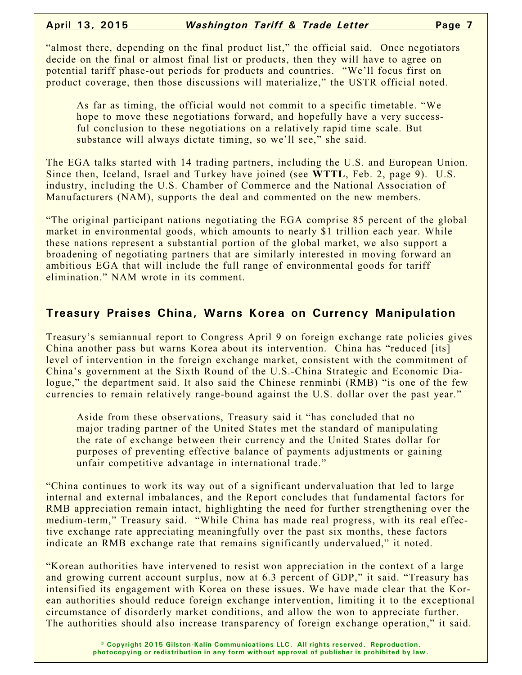"almost there, depending on the final product list," the official said. Once negotiators decide on the final or almost final list or products, then they will have to agree on potential tariff phase-out periods for products and countries. "We'll focus first on product coverage, then those discussions will materialize," the USTR official noted.

As far as timing, the official would not commit to a specific timetable. "We hope to move these negotiations forward, and hopefully have a very successful conclusion to these negotiations on a relatively rapid time scale. But substance will always dictate timing, so we'll see," she said.

The EGA talks started with 14 trading partners, including the U.S. and European Union. Since then, Iceland, Israel and Turkey have joined (see **WTTL**, Feb. 2, page 9). U.S. industry, including the U.S. Chamber of Commerce and the National Association of Manufacturers (NAM), supports the deal and commented on the new members.

"The original participant nations negotiating the EGA comprise 85 percent of the global market in environmental goods, which amounts to nearly \$1 trillion each year. While these nations represent a substantial portion of the global market, we also support a broadening of negotiating partners that are similarly interested in moving forward an ambitious EGA that will include the full range of environmental goods for tariff elimination." NAM wrote in its comment.

#### **Treasury Praises China, Warns Korea on Currency Manipulation**

Treasury's semiannual report to Congress April 9 on foreign exchange rate policies gives China another pass but warns Korea about its intervention. China has "reduced [its] level of intervention in the foreign exchange market, consistent with the commitment of China's government at the Sixth Round of the U.S.-China Strategic and Economic Dialogue," the department said. It also said the Chinese renminbi (RMB) "is one of the few currencies to remain relatively range-bound against the U.S. dollar over the past year."

Aside from these observations, Treasury said it "has concluded that no major trading partner of the United States met the standard of manipulating the rate of exchange between their currency and the United States dollar for purposes of preventing effective balance of payments adjustments or gaining unfair competitive advantage in international trade."

"China continues to work its way out of a significant undervaluation that led to large internal and external imbalances, and the Report concludes that fundamental factors for RMB appreciation remain intact, highlighting the need for further strengthening over the medium-term," Treasury said. "While China has made real progress, with its real effective exchange rate appreciating meaningfully over the past six months, these factors indicate an RMB exchange rate that remains significantly undervalued," it noted.

"Korean authorities have intervened to resist won appreciation in the context of a large and growing current account surplus, now at 6.3 percent of GDP," it said. "Treasury has intensified its engagement with Korea on these issues. We have made clear that the Korean authorities should reduce foreign exchange intervention, limiting it to the exceptional circumstance of disorderly market conditions, and allow the won to appreciate further. The authorities should also increase transparency of foreign exchange operation," it said.